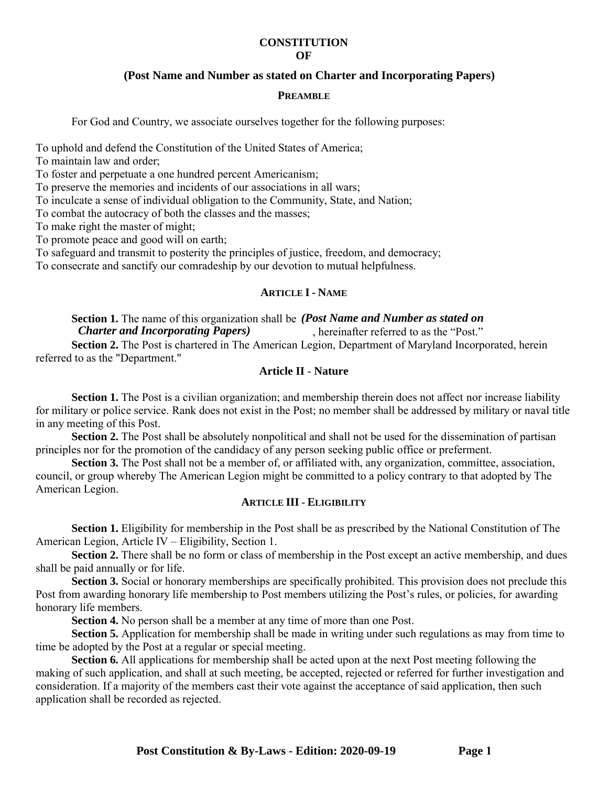#### **CONSTITUTION OF**

# **(Post Name and Number as stated on Charter and Incorporating Papers)**

#### **PREAMBLE**

For God and Country, we associate ourselves together for the following purposes:

To uphold and defend the Constitution of the United States of America;

To maintain law and order;

To foster and perpetuate a one hundred percent Americanism;

To preserve the memories and incidents of our associations in all wars;

To inculcate a sense of individual obligation to the Community, State, and Nation;

To combat the autocracy of both the classes and the masses;

To make right the master of might;

To promote peace and good will on earth;

To safeguard and transmit to posterity the principles of justice, freedom, and democracy;

To consecrate and sanctify our comradeship by our devotion to mutual helpfulness.

## **ARTICLE I- NAME**

# Section 1. The name of this organization shall be *(Post Name and Number as stated on Charter and Incorporating Papers)*, hereinafter referred to as the "Post."

, hereinafter referred to as the "Post."

**Section 2.** The Post is chartered in The American Legion, Department of Maryland Incorporated, herein referred to as the "Department."

## **Article II** - **Nature**

**Section 1.** The Post is a civilian organization; and membership therein does not affect nor increase liability for military or police service. Rank does not exist in the Post; no member shall be addressed by military or naval title in any meeting of this Post.

**Section 2.** The Post shall be absolutely nonpolitical and shall not be used for the dissemination of partisan principles nor for the promotion of the candidacy of any person seeking public office or preferment.

**Section 3.** The Post shall not be a member of, or affiliated with, any organization, committee, association, council, or group whereby The American Legion might be committed to a policy contrary to that adopted by The American Legion.

## **ARTICLE III**- **ELIGIBILITY**

**Section 1.** Eligibility for membership in the Post shall be as prescribed by the National Constitution of The American Legion, Article IV – Eligibility, Section 1.

**Section 2.** There shall be no form or class of membership in the Post except an active membership, and dues shall be paid annually or for life.

**Section 3.** Social or honorary memberships are specifically prohibited. This provision does not preclude this Post from awarding honorary life membership to Post members utilizing the Post's rules, or policies, for awarding honorary life members.

**Section 4.** No person shall be a member at any time of more than one Post.

**Section 5.** Application for membership shall be made in writing under such regulations as may from time to time be adopted by the Post at a regular or special meeting.

**Section 6.** All applications for membership shall be acted upon at the next Post meeting following the making of such application, and shall at such meeting, be accepted, rejected or referred for further investigation and consideration. If a majority of the members cast their vote against the acceptance of said application, then such application shall be recorded as rejected.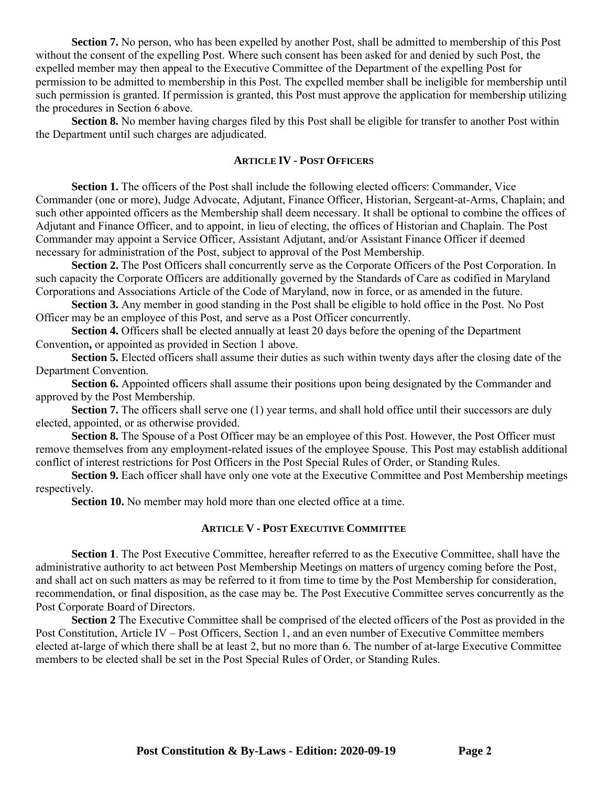**Section 7.** No person, who has been expelled by another Post, shall be admitted to membership of this Post without the consent of the expelling Post. Where such consent has been asked for and denied by such Post, the expelled member may then appeal to the Executive Committee of the Department of the expelling Post for permission to be admitted to membership in this Post. The expelled member shall be ineligible for membership until such permission is granted. If permission is granted, this Post must approve the application for membership utilizing the procedures in Section 6 above.

**Section 8.** No member having charges filed by this Post shall be eligible for transfer to another Post within the Department until such charges are adjudicated.

## **ARTICLE IV - POST OFFICERS**

**Section 1.** The officers of the Post shall include the following elected officers: Commander, Vice Commander (one or more), Judge Advocate, Adjutant, Finance Officer, Historian, Sergeant-at-Arms, Chaplain; and such other appointed officers as the Membership shall deem necessary. It shall be optional to combine the offices of Adjutant and Finance Officer, and to appoint, in lieu of electing, the offices of Historian and Chaplain. The Post Commander may appoint a Service Officer, Assistant Adjutant, and/or Assistant Finance Officer if deemed necessary for administration of the Post, subject to approval of the Post Membership.

**Section 2.** The Post Officers shall concurrently serve as the Corporate Officers of the Post Corporation. In such capacity the Corporate Officers are additionally governed by the Standards of Care as codified in Maryland Corporations and Associations Article of the Code of Maryland, now in force, or as amended in the future.

**Section 3.** Any member in good standing in the Post shall be eligible to hold office in the Post. No Post Officer may be an employee of this Post, and serve as a Post Officer concurrently.

**Section 4.** Officers shall be elected annually at least 20 days before the opening of the Department Convention**,** or appointed as provided in Section 1 above.

**Section 5.** Elected officers shall assume their duties as such within twenty days after the closing date of the Department Convention.

**Section 6.** Appointed officers shall assume their positions upon being designated by the Commander and approved by the Post Membership.

**Section 7.** The officers shall serve one (1) year terms, and shall hold office until their successors are duly elected, appointed, or as otherwise provided.

**Section 8.** The Spouse of a Post Officer may be an employee of this Post. However, the Post Officer must remove themselves from any employment-related issues of the employee Spouse. This Post may establish additional conflict of interest restrictions for Post Officers in the Post Special Rules of Order, or Standing Rules.

**Section 9.** Each officer shall have only one vote at the Executive Committee and Post Membership meetings respectively.

**Section 10.** No member may hold more than one elected office at a time.

#### **ARTICLE V - POST EXECUTIVE COMMITTEE**

**Section 1**. The Post Executive Committee, hereafter referred to as the Executive Committee, shall have the administrative authority to act between Post Membership Meetings on matters of urgency coming before the Post, and shall act on such matters as may be referred to it from time to time by the Post Membership for consideration, recommendation, or final disposition, as the case may be. The Post Executive Committee serves concurrently as the Post Corporate Board of Directors.

**Section 2** The Executive Committee shall be comprised of the elected officers of the Post as provided in the Post Constitution, Article IV – Post Officers, Section 1, and an even number of Executive Committee members elected at-large of which there shall be at least 2, but no more than 6. The number of at-large Executive Committee members to be elected shall be set in the Post Special Rules of Order, or Standing Rules.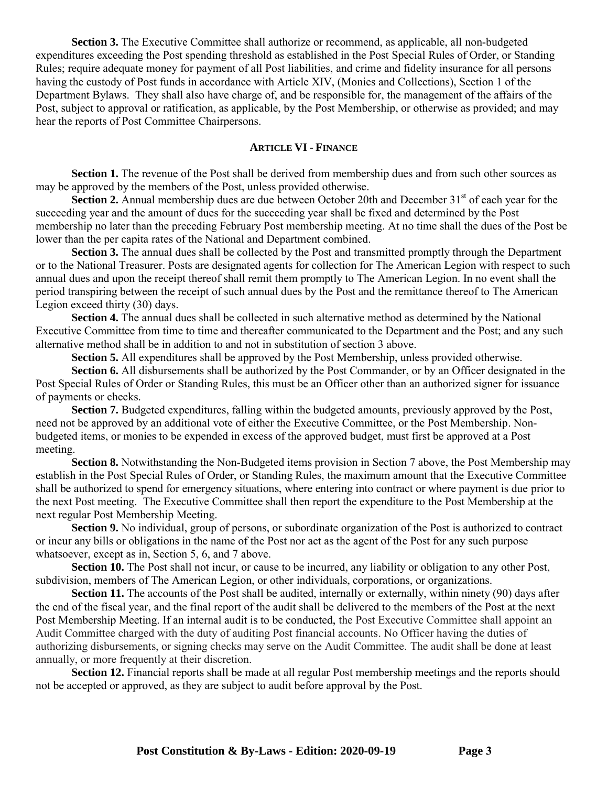**Section 3.** The Executive Committee shall authorize or recommend, as applicable, all non-budgeted expenditures exceeding the Post spending threshold as established in the Post Special Rules of Order, or Standing Rules; require adequate money for payment of all Post liabilities, and crime and fidelity insurance for all persons having the custody of Post funds in accordance with Article XIV, (Monies and Collections), Section 1 of the Department Bylaws. They shall also have charge of, and be responsible for, the management of the affairs of the Post, subject to approval or ratification, as applicable, by the Post Membership, or otherwise as provided; and may hear the reports of Post Committee Chairpersons.

## **ARTICLE VI- FINANCE**

**Section 1.** The revenue of the Post shall be derived from membership dues and from such other sources as may be approved by the members of the Post, unless provided otherwise.

**Section 2.** Annual membership dues are due between October 20th and December 31<sup>st</sup> of each year for the succeeding year and the amount of dues for the succeeding year shall be fixed and determined by the Post membership no later than the preceding February Post membership meeting. At no time shall the dues of the Post be lower than the per capita rates of the National and Department combined.

**Section 3.** The annual dues shall be collected by the Post and transmitted promptly through the Department or to the National Treasurer. Posts are designated agents for collection for The American Legion with respect to such annual dues and upon the receipt thereof shall remit them promptly to The American Legion. In no event shall the period transpiring between the receipt of such annual dues by the Post and the remittance thereof to The American Legion exceed thirty (30) days.

**Section 4.** The annual dues shall be collected in such alternative method as determined by the National Executive Committee from time to time and thereafter communicated to the Department and the Post; and any such alternative method shall be in addition to and not in substitution of section 3 above.

**Section 5.** All expenditures shall be approved by the Post Membership, unless provided otherwise.

**Section 6.** All disbursements shall be authorized by the Post Commander, or by an Officer designated in the Post Special Rules of Order or Standing Rules, this must be an Officer other than an authorized signer for issuance of payments or checks.

**Section 7.** Budgeted expenditures, falling within the budgeted amounts, previously approved by the Post, need not be approved by an additional vote of either the Executive Committee, or the Post Membership. Nonbudgeted items, or monies to be expended in excess of the approved budget, must first be approved at a Post meeting.

**Section 8.** Notwithstanding the Non-Budgeted items provision in Section 7 above, the Post Membership may establish in the Post Special Rules of Order, or Standing Rules, the maximum amount that the Executive Committee shall be authorized to spend for emergency situations, where entering into contract or where payment is due prior to the next Post meeting. The Executive Committee shall then report the expenditure to the Post Membership at the next regular Post Membership Meeting.

**Section 9.** No individual, group of persons, or subordinate organization of the Post is authorized to contract or incur any bills or obligations in the name of the Post nor act as the agent of the Post for any such purpose whatsoever, except as in, Section 5, 6, and 7 above.

**Section 10.** The Post shall not incur, or cause to be incurred, any liability or obligation to any other Post, subdivision, members of The American Legion, or other individuals, corporations, or organizations.

**Section 11.** The accounts of the Post shall be audited, internally or externally, within ninety (90) days after the end of the fiscal year, and the final report of the audit shall be delivered to the members of the Post at the next Post Membership Meeting. If an internal audit is to be conducted, the Post Executive Committee shall appoint an Audit Committee charged with the duty of auditing Post financial accounts. No Officer having the duties of authorizing disbursements, or signing checks may serve on the Audit Committee. The audit shall be done at least annually, or more frequently at their discretion.

**Section 12.** Financial reports shall be made at all regular Post membership meetings and the reports should not be accepted or approved, as they are subject to audit before approval by the Post.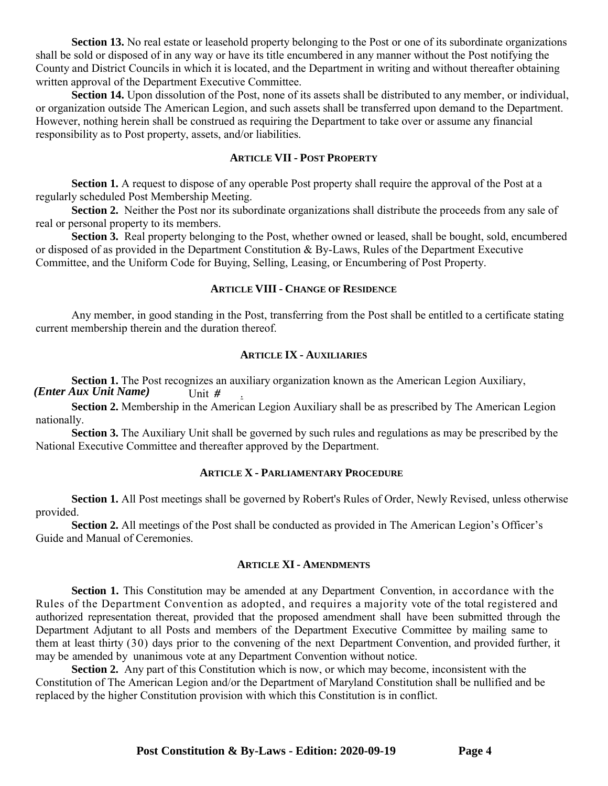**Section 13.** No real estate or leasehold property belonging to the Post or one of its subordinate organizations shall be sold or disposed of in any way or have its title encumbered in any manner without the Post notifying the County and District Councils in which it is located, and the Department in writing and without thereafter obtaining written approval of the Department Executive Committee.

**Section 14.** Upon dissolution of the Post, none of its assets shall be distributed to any member, or individual, or organization outside The American Legion, and such assets shall be transferred upon demand to the Department. However, nothing herein shall be construed as requiring the Department to take over or assume any financial responsibility as to Post property, assets, and/or liabilities.

#### **ARTICLE VII - POST PROPERTY**

**Section 1.** A request to dispose of any operable Post property shall require the approval of the Post at a regularly scheduled Post Membership Meeting.

**Section 2.** Neither the Post nor its subordinate organizations shall distribute the proceeds from any sale of real or personal property to its members.

**Section 3.** Real property belonging to the Post, whether owned or leased, shall be bought, sold, encumbered or disposed of as provided in the Department Constitution & By-Laws, Rules of the Department Executive Committee, and the Uniform Code for Buying, Selling, Leasing, or Encumbering of Post Property.

## **ARTICLE VIII - CHANGE OF RESIDENCE**

Any member, in good standing in the Post, transferring from the Post shall be entitled to a certificate stating current membership therein and the duration thereof.

#### **ARTICLE IX - AUXILIARIES**

**Section 1.** The Post recognizes an auxiliary organization known as the American Legion Auxiliary, Unit  $#$ *(Enter Aux Unit Name) #*

**Section 2.** Membership in the American Legion Auxiliary shall be as prescribed by The American Legion nationally.

**Section 3.** The Auxiliary Unit shall be governed by such rules and regulations as may be prescribed by the National Executive Committee and thereafter approved by the Department.

#### **ARTICLE X - PARLIAMENTARY PROCEDURE**

**Section 1.** All Post meetings shall be governed by Robert's Rules of Order, Newly Revised, unless otherwise provided.

**Section 2.** All meetings of the Post shall be conducted as provided in The American Legion's Officer's Guide and Manual of Ceremonies.

## **ARTICLE XI- AMENDMENTS**

**Section 1.** This Constitution may be amended at any Department Convention, in accordance with the Rules of the Department Convention as adopted, and requires a majority vote of the total registered and authorized representation thereat, provided that the proposed amendment shall have been submitted through the Department Adjutant to all Posts and members of the Department Executive Committee by mailing same to them at least thirty (30) days prior to the convening of the next Department Convention, and provided further, it may be amended by unanimous vote at any Department Convention without notice.

**Section 2.** Any part of this Constitution which is now, or which may become, inconsistent with the Constitution of The American Legion and/or the Department of Maryland Constitution shall be nullified and be replaced by the higher Constitution provision with which this Constitution is in conflict.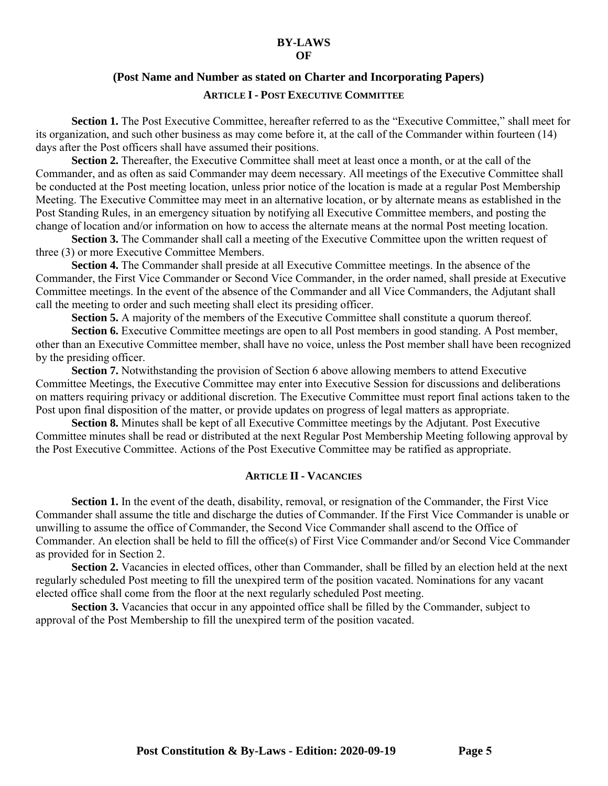#### **BY-LAWS OF**

#### **(Post Name and Number as stated on Charter and Incorporating Papers)**

### **ARTICLE I- POST EXECUTIVE COMMITTEE**

**Section 1.** The Post Executive Committee, hereafter referred to as the "Executive Committee," shall meet for its organization, and such other business as may come before it, at the call of the Commander within fourteen (14) days after the Post officers shall have assumed their positions.

**Section 2.** Thereafter, the Executive Committee shall meet at least once a month, or at the call of the Commander, and as often as said Commander may deem necessary. All meetings of the Executive Committee shall be conducted at the Post meeting location, unless prior notice of the location is made at a regular Post Membership Meeting. The Executive Committee may meet in an alternative location, or by alternate means as established in the Post Standing Rules, in an emergency situation by notifying all Executive Committee members, and posting the change of location and/or information on how to access the alternate means at the normal Post meeting location.

**Section 3.** The Commander shall call a meeting of the Executive Committee upon the written request of three (3) or more Executive Committee Members.

**Section 4.** The Commander shall preside at all Executive Committee meetings. In the absence of the Commander, the First Vice Commander or Second Vice Commander, in the order named, shall preside at Executive Committee meetings. In the event of the absence of the Commander and all Vice Commanders, the Adjutant shall call the meeting to order and such meeting shall elect its presiding officer.

**Section 5.** A majority of the members of the Executive Committee shall constitute a quorum thereof.

**Section 6.** Executive Committee meetings are open to all Post members in good standing. A Post member, other than an Executive Committee member, shall have no voice, unless the Post member shall have been recognized by the presiding officer.

**Section 7.** Notwithstanding the provision of Section 6 above allowing members to attend Executive Committee Meetings, the Executive Committee may enter into Executive Session for discussions and deliberations on matters requiring privacy or additional discretion. The Executive Committee must report final actions taken to the Post upon final disposition of the matter, or provide updates on progress of legal matters as appropriate.

**Section 8.** Minutes shall be kept of all Executive Committee meetings by the Adjutant. Post Executive Committee minutes shall be read or distributed at the next Regular Post Membership Meeting following approval by the Post Executive Committee. Actions of the Post Executive Committee may be ratified as appropriate.

#### **ARTICLE II- VACANCIES**

Section 1. In the event of the death, disability, removal, or resignation of the Commander, the First Vice Commander shall assume the title and discharge the duties of Commander. If the First Vice Commander is unable or unwilling to assume the office of Commander, the Second Vice Commander shall ascend to the Office of Commander. An election shall be held to fill the office(s) of First Vice Commander and/or Second Vice Commander as provided for in Section 2.

**Section 2.** Vacancies in elected offices, other than Commander, shall be filled by an election held at the next regularly scheduled Post meeting to fill the unexpired term of the position vacated. Nominations for any vacant elected office shall come from the floor at the next regularly scheduled Post meeting.

**Section 3.** Vacancies that occur in any appointed office shall be filled by the Commander, subject to approval of the Post Membership to fill the unexpired term of the position vacated.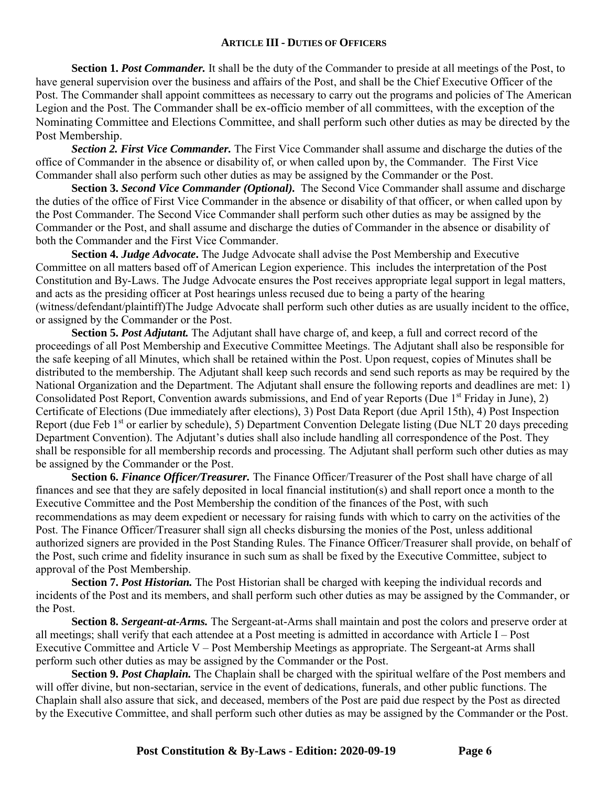## **ARTICLE III- DUTIES OF OFFICERS**

**Section 1. Post Commander.** It shall be the duty of the Commander to preside at all meetings of the Post, to have general supervision over the business and affairs of the Post, and shall be the Chief Executive Officer of the Post. The Commander shall appoint committees as necessary to carry out the programs and policies of The American Legion and the Post. The Commander shall be ex-officio member of all committees, with the exception of the Nominating Committee and Elections Committee, and shall perform such other duties as may be directed by the Post Membership.

*Section 2. First Vice Commander.* The First Vice Commander shall assume and discharge the duties of the office of Commander in the absence or disability of, or when called upon by, the Commander. The First Vice Commander shall also perform such other duties as may be assigned by the Commander or the Post.

**Section 3.** *Second Vice Commander (Optional).* The Second Vice Commander shall assume and discharge the duties of the office of First Vice Commander in the absence or disability of that officer, or when called upon by the Post Commander. The Second Vice Commander shall perform such other duties as may be assigned by the Commander or the Post, and shall assume and discharge the duties of Commander in the absence or disability of both the Commander and the First Vice Commander.

**Section 4.** *Judge Advocate***.** The Judge Advocate shall advise the Post Membership and Executive Committee on all matters based off of American Legion experience. This includes the interpretation of the Post Constitution and By-Laws. The Judge Advocate ensures the Post receives appropriate legal support in legal matters, and acts as the presiding officer at Post hearings unless recused due to being a party of the hearing (witness/defendant/plaintiff)The Judge Advocate shall perform such other duties as are usually incident to the office, or assigned by the Commander or the Post.

**Section 5.** *Post Adjutant.* The Adjutant shall have charge of, and keep, a full and correct record of the proceedings of all Post Membership and Executive Committee Meetings. The Adjutant shall also be responsible for the safe keeping of all Minutes, which shall be retained within the Post. Upon request, copies of Minutes shall be distributed to the membership. The Adjutant shall keep such records and send such reports as may be required by the National Organization and the Department. The Adjutant shall ensure the following reports and deadlines are met: 1) Consolidated Post Report, Convention awards submissions, and End of year Reports (Due 1<sup>st</sup> Friday in June), 2) Certificate of Elections (Due immediately after elections), 3) Post Data Report (due April 15th), 4) Post Inspection Report (due Feb 1<sup>st</sup> or earlier by schedule), 5) Department Convention Delegate listing (Due NLT 20 days preceding Department Convention). The Adjutant's duties shall also include handling all correspondence of the Post. They shall be responsible for all membership records and processing. The Adjutant shall perform such other duties as may be assigned by the Commander or the Post.

**Section 6.** *Finance Officer/Treasurer.* The Finance Officer/Treasurer of the Post shall have charge of all finances and see that they are safely deposited in local financial institution(s) and shall report once a month to the Executive Committee and the Post Membership the condition of the finances of the Post, with such recommendations as may deem expedient or necessary for raising funds with which to carry on the activities of the Post. The Finance Officer/Treasurer shall sign all checks disbursing the monies of the Post, unless additional authorized signers are provided in the Post Standing Rules. The Finance Officer/Treasurer shall provide, on behalf of the Post, such crime and fidelity insurance in such sum as shall be fixed by the Executive Committee, subject to approval of the Post Membership.

Section 7. Post Historian. The Post Historian shall be charged with keeping the individual records and incidents of the Post and its members, and shall perform such other duties as may be assigned by the Commander, or the Post.

**Section 8.** *Sergeant-at-Arms.* The Sergeant-at-Arms shall maintain and post the colors and preserve order at all meetings; shall verify that each attendee at a Post meeting is admitted in accordance with Article I – Post Executive Committee and Article V – Post Membership Meetings as appropriate. The Sergeant-at Arms shall perform such other duties as may be assigned by the Commander or the Post.

**Section 9.** *Post Chaplain.* The Chaplain shall be charged with the spiritual welfare of the Post members and will offer divine, but non-sectarian, service in the event of dedications, funerals, and other public functions. The Chaplain shall also assure that sick, and deceased, members of the Post are paid due respect by the Post as directed by the Executive Committee, and shall perform such other duties as may be assigned by the Commander or the Post.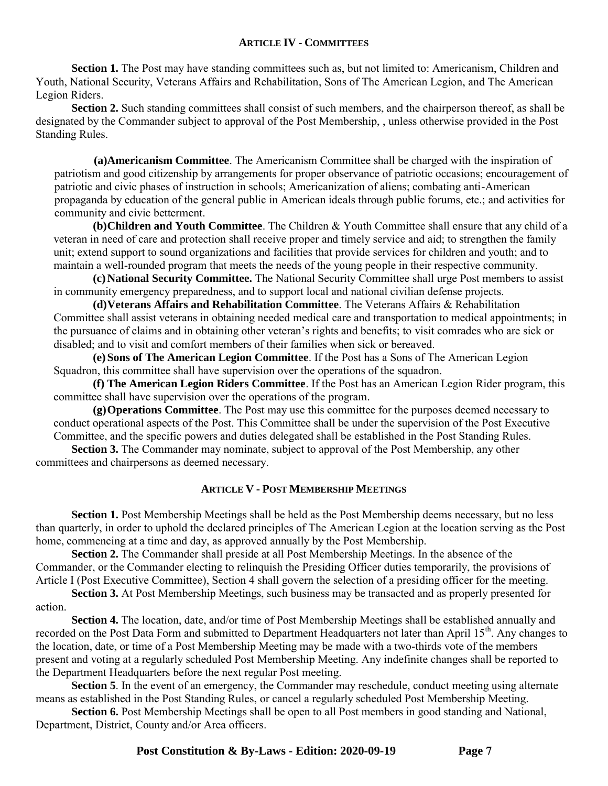## **ARTICLE IV - COMMITTEES**

Section 1. The Post may have standing committees such as, but not limited to: Americanism, Children and Youth, National Security, Veterans Affairs and Rehabilitation, Sons of The American Legion, and The American Legion Riders.

**Section 2.** Such standing committees shall consist of such members, and the chairperson thereof, as shall be designated by the Commander subject to approval of the Post Membership, , unless otherwise provided in the Post Standing Rules.

**(a)Americanism Committee**. The Americanism Committee shall be charged with the inspiration of patriotism and good citizenship by arrangements for proper observance of patriotic occasions; encouragement of patriotic and civic phases of instruction in schools; Americanization of aliens; combating anti-American propaganda by education of the general public in American ideals through public forums, etc.; and activities for community and civic betterment.

**(b)Children and Youth Committee**. The Children & Youth Committee shall ensure that any child of a veteran in need of care and protection shall receive proper and timely service and aid; to strengthen the family unit; extend support to sound organizations and facilities that provide services for children and youth; and to maintain a well-rounded program that meets the needs of the young people in their respective community.

**(c)National Security Committee.** The National Security Committee shall urge Post members to assist in community emergency preparedness, and to support local and national civilian defense projects.

**(d)Veterans Affairs and Rehabilitation Committee**. The Veterans Affairs & Rehabilitation Committee shall assist veterans in obtaining needed medical care and transportation to medical appointments; in the pursuance of claims and in obtaining other veteran's rights and benefits; to visit comrades who are sick or disabled; and to visit and comfort members of their families when sick or bereaved.

**(e)Sons of The American Legion Committee**. If the Post has a Sons of The American Legion Squadron, this committee shall have supervision over the operations of the squadron.

**(f) The American Legion Riders Committee**. If the Post has an American Legion Rider program, this committee shall have supervision over the operations of the program.

**(g)Operations Committee**. The Post may use this committee for the purposes deemed necessary to conduct operational aspects of the Post. This Committee shall be under the supervision of the Post Executive Committee, and the specific powers and duties delegated shall be established in the Post Standing Rules.

**Section 3.** The Commander may nominate, subject to approval of the Post Membership, any other committees and chairpersons as deemed necessary.

## **ARTICLE V - POST MEMBERSHIP MEETINGS**

**Section 1.** Post Membership Meetings shall be held as the Post Membership deems necessary, but no less than quarterly, in order to uphold the declared principles of The American Legion at the location serving as the Post home, commencing at a time and day, as approved annually by the Post Membership.

**Section 2.** The Commander shall preside at all Post Membership Meetings. In the absence of the Commander, or the Commander electing to relinquish the Presiding Officer duties temporarily, the provisions of Article I (Post Executive Committee), Section 4 shall govern the selection of a presiding officer for the meeting.

**Section 3.** At Post Membership Meetings, such business may be transacted and as properly presented for action.

**Section 4.** The location, date, and/or time of Post Membership Meetings shall be established annually and recorded on the Post Data Form and submitted to Department Headquarters not later than April 15<sup>th</sup>. Any changes to the location, date, or time of a Post Membership Meeting may be made with a two-thirds vote of the members present and voting at a regularly scheduled Post Membership Meeting. Any indefinite changes shall be reported to the Department Headquarters before the next regular Post meeting.

**Section 5**. In the event of an emergency, the Commander may reschedule, conduct meeting using alternate means as established in the Post Standing Rules, or cancel a regularly scheduled Post Membership Meeting.

**Section 6.** Post Membership Meetings shall be open to all Post members in good standing and National, Department, District, County and/or Area officers.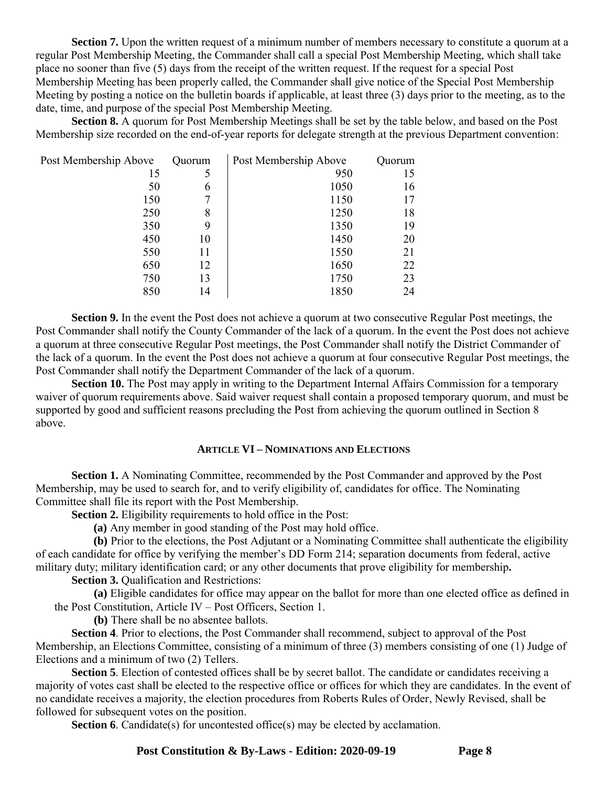**Section 7.** Upon the written request of a minimum number of members necessary to constitute a quorum at a regular Post Membership Meeting, the Commander shall call a special Post Membership Meeting, which shall take place no sooner than five (5) days from the receipt of the written request. If the request for a special Post Membership Meeting has been properly called, the Commander shall give notice of the Special Post Membership Meeting by posting a notice on the bulletin boards if applicable, at least three (3) days prior to the meeting, as to the date, time, and purpose of the special Post Membership Meeting.

**Section 8.** A quorum for Post Membership Meetings shall be set by the table below, and based on the Post Membership size recorded on the end-of-year reports for delegate strength at the previous Department convention:

| Post Membership Above | Quorum | Post Membership Above | Quorum |
|-----------------------|--------|-----------------------|--------|
| 15                    | 5      | 950                   | 15     |
| 50                    | 6      | 1050                  | 16     |
| 150                   | 7      | 1150                  | 17     |
| 250                   | 8      | 1250                  | 18     |
| 350                   | 9      | 1350                  | 19     |
| 450                   | 10     | 1450                  | 20     |
| 550                   | 11     | 1550                  | 21     |
| 650                   | 12     | 1650                  | 22     |
| 750                   | 13     | 1750                  | 23     |
| 850                   | 14     | 1850                  | 24     |

**Section 9.** In the event the Post does not achieve a quorum at two consecutive Regular Post meetings, the Post Commander shall notify the County Commander of the lack of a quorum. In the event the Post does not achieve a quorum at three consecutive Regular Post meetings, the Post Commander shall notify the District Commander of the lack of a quorum. In the event the Post does not achieve a quorum at four consecutive Regular Post meetings, the Post Commander shall notify the Department Commander of the lack of a quorum.

**Section 10.** The Post may apply in writing to the Department Internal Affairs Commission for a temporary waiver of quorum requirements above. Said waiver request shall contain a proposed temporary quorum, and must be supported by good and sufficient reasons precluding the Post from achieving the quorum outlined in Section 8 above.

#### **ARTICLE VI – NOMINATIONS AND ELECTIONS**

**Section 1.** A Nominating Committee, recommended by the Post Commander and approved by the Post Membership, may be used to search for, and to verify eligibility of, candidates for office. The Nominating Committee shall file its report with the Post Membership.

**Section 2.** Eligibility requirements to hold office in the Post:

**(a)** Any member in good standing of the Post may hold office.

**(b)** Prior to the elections, the Post Adjutant or a Nominating Committee shall authenticate the eligibility of each candidate for office by verifying the member's DD Form 214; separation documents from federal, active military duty; military identification card; or any other documents that prove eligibility for membership**.**

**Section 3.** Oualification and Restrictions:

**(a)** Eligible candidates for office may appear on the ballot for more than one elected office as defined in the Post Constitution, Article IV – Post Officers, Section 1.

**(b)** There shall be no absentee ballots.

**Section 4**. Prior to elections, the Post Commander shall recommend, subject to approval of the Post Membership, an Elections Committee, consisting of a minimum of three (3) members consisting of one (1) Judge of Elections and a minimum of two (2) Tellers.

**Section 5**. Election of contested offices shall be by secret ballot. The candidate or candidates receiving a majority of votes cast shall be elected to the respective office or offices for which they are candidates. In the event of no candidate receives a majority, the election procedures from Roberts Rules of Order, Newly Revised, shall be followed for subsequent votes on the position.

**Section 6**. Candidate(s) for uncontested office(s) may be elected by acclamation.

**Post Constitution & By-Laws - Edition: 2020-09-19 Page 8**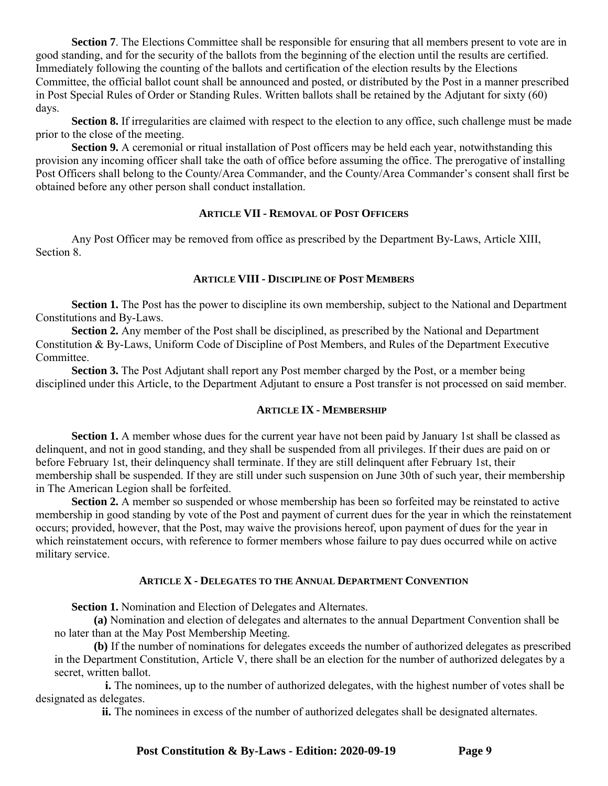**Section 7.** The Elections Committee shall be responsible for ensuring that all members present to vote are in good standing, and for the security of the ballots from the beginning of the election until the results are certified. Immediately following the counting of the ballots and certification of the election results by the Elections Committee, the official ballot count shall be announced and posted, or distributed by the Post in a manner prescribed in Post Special Rules of Order or Standing Rules. Written ballots shall be retained by the Adjutant for sixty (60) days.

**Section 8.** If irregularities are claimed with respect to the election to any office, such challenge must be made prior to the close of the meeting.

**Section 9.** A ceremonial or ritual installation of Post officers may be held each year, notwithstanding this provision any incoming officer shall take the oath of office before assuming the office. The prerogative of installing Post Officers shall belong to the County/Area Commander, and the County/Area Commander's consent shall first be obtained before any other person shall conduct installation.

# **ARTICLE VII - REMOVAL OF POST OFFICERS**

Any Post Officer may be removed from office as prescribed by the Department By-Laws, Article XIII, Section 8.

## **ARTICLE VIII - DISCIPLINE OF POST MEMBERS**

**Section 1.** The Post has the power to discipline its own membership, subject to the National and Department Constitutions and By-Laws.

**Section 2.** Any member of the Post shall be disciplined, as prescribed by the National and Department Constitution & By-Laws, Uniform Code of Discipline of Post Members, and Rules of the Department Executive Committee.

**Section 3.** The Post Adjutant shall report any Post member charged by the Post, or a member being disciplined under this Article, to the Department Adjutant to ensure a Post transfer is not processed on said member.

#### **ARTICLE IX - MEMBERSHIP**

**Section 1.** A member whose dues for the current year have not been paid by January 1st shall be classed as delinquent, and not in good standing, and they shall be suspended from all privileges. If their dues are paid on or before February 1st, their delinquency shall terminate. If they are still delinquent after February 1st, their membership shall be suspended. If they are still under such suspension on June 30th of such year, their membership in The American Legion shall be forfeited.

**Section 2.** A member so suspended or whose membership has been so forfeited may be reinstated to active membership in good standing by vote of the Post and payment of current dues for the year in which the reinstatement occurs; provided, however, that the Post, may waive the provisions hereof, upon payment of dues for the year in which reinstatement occurs, with reference to former members whose failure to pay dues occurred while on active military service.

#### **ARTICLE X - DELEGATES TO THE ANNUAL DEPARTMENT CONVENTION**

**Section 1.** Nomination and Election of Delegates and Alternates.

**(a)** Nomination and election of delegates and alternates to the annual Department Convention shall be no later than at the May Post Membership Meeting.

**(b)** If the number of nominations for delegates exceeds the number of authorized delegates as prescribed in the Department Constitution, Article V, there shall be an election for the number of authorized delegates by a secret, written ballot.

**i.** The nominees, up to the number of authorized delegates, with the highest number of votes shall be designated as delegates.

**ii.** The nominees in excess of the number of authorized delegates shall be designated alternates.